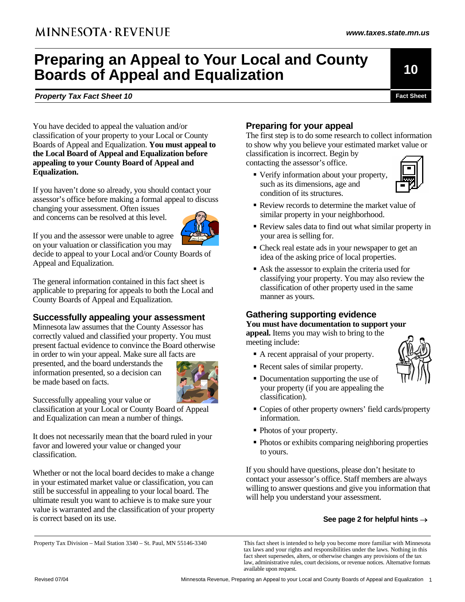# **Preparing an Appeal to Your Local and County Boards of Appeal and Equalization**

**Property Tax Fact Sheet 10 Fact Sheet 10 Fact Sheet Fact Sheet Fact Sheet** 

**10** 

*www.taxes.state.mn.us*

You have decided to appeal the valuation and/or classification of your property to your Local or County Boards of Appeal and Equalization. **You must appeal to the Local Board of Appeal and Equalization before appealing to your County Board of Appeal and Equalization.** 

If you haven't done so already, you should contact your assessor's office before making a formal appeal to discuss changing your assessment. Often issues and concerns can be resolved at this level.



If you and the assessor were unable to agree

on your valuation or classification you may decide to appeal to your Local and/or County Boards of Appeal and Equalization.

The general information contained in this fact sheet is applicable to preparing for appeals to both the Local and County Boards of Appeal and Equalization.

## **Successfully appealing your assessment**

Minnesota law assumes that the County Assessor has correctly valued and classified your property. You must present factual evidence to convince the Board otherwise in order to win your appeal. Make sure all facts are

presented, and the board understands the information presented, so a decision can be made based on facts.



Successfully appealing your value or

classification at your Local or County Board of Appeal and Equalization can mean a number of things.

It does not necessarily mean that the board ruled in your favor and lowered your value or changed your classification.

Whether or not the local board decides to make a change in your estimated market value or classification, you can still be successful in appealing to your local board. The ultimate result you want to achieve is to make sure your value is warranted and the classification of your property is correct based on its use.

# **Preparing for your appeal**

The first step is to do some research to collect information to show why you believe your estimated market value or classification is incorrect. Begin by contacting the assessor's office.

 Verify information about your property, such as its dimensions, age and condition of its structures.



- Review records to determine the market value of similar property in your neighborhood.
- Review sales data to find out what similar property in your area is selling for.
- Check real estate ads in your newspaper to get an idea of the asking price of local properties.
- Ask the assessor to explain the criteria used for classifying your property. You may also review the classification of other property used in the same manner as yours.

# **Gathering supporting evidence**

**You must have documentation to support your** 

**appeal.** Items you may wish to bring to the meeting include:

- A recent appraisal of your property.
- Recent sales of similar property.
- Documentation supporting the use of your property (if you are appealing the classification).



- Copies of other property owners' field cards/property information.
- Photos of your property.
- Photos or exhibits comparing neighboring properties to yours.

If you should have questions, please don't hesitate to contact your assessor's office. Staff members are always willing to answer questions and give you information that will help you understand your assessment.

#### **See page 2 for helpful hints** →

Property Tax Division – Mail Station 3340 – St. Paul, MN 55146-3340 This fact sheet is intended to help you become more familiar with Minnesota

tax laws and your rights and responsibilities under the laws. Nothing in this fact sheet supersedes, alters, or otherwise changes any provisions of the tax law, administrative rules, court decisions, or revenue notices. Alternative formats available upon request.